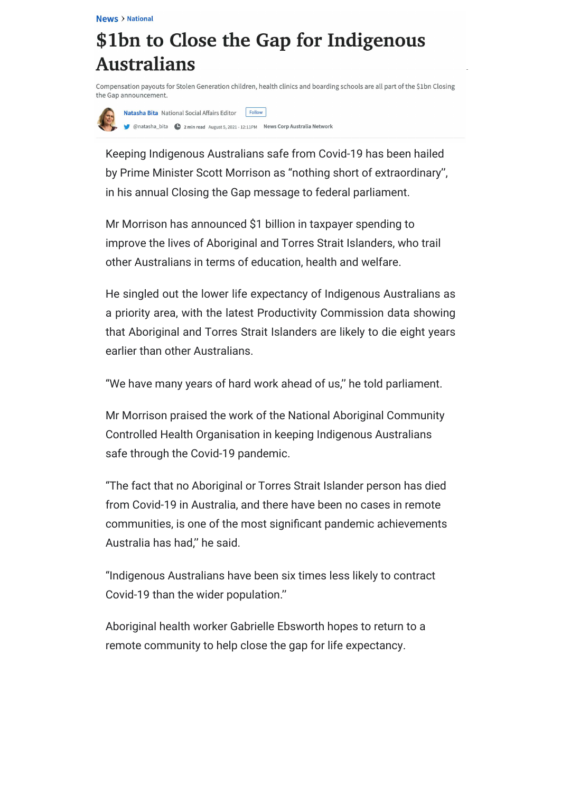## \$1bn to Close the Gap for Indigenous **Australians**

Compensation payouts for Stolen Generation children, health clinics and boarding schools are all part of the \$1bn Closing the Gap announcement.



Natasha Bita National Social Affairs Editor Follow 

Keeping Indigenous Australians safe from Covid-19 has been hailed by Prime Minister Scott Morrison as "nothing short of extraordinary'', in his annual Closing the Gap message to federal parliament.

Mr Morrison has announced \$1 billion in taxpayer spending to improve the lives of Aboriginal and Torres Strait Islanders, who trail other Australians in terms of education, health and welfare.

He singled out the lower life expectancy of Indigenous Australians as a priority area, with the latest Productivity Commission data showing that Aboriginal and Torres Strait Islanders are likely to die eight years earlier than other Australians.

"We have many years of hard work ahead of us,'' he told parliament.

Mr Morrison praised the work of the National Aboriginal Community Controlled Health Organisation in keeping Indigenous Australians safe through the Covid-19 pandemic.

"The fact that no Aboriginal or Torres Strait Islander person has died from Covid-19 in Australia, and there have been no cases in remote communities, is one of the most significant pandemic achievements Australia has had,'' he said.

"Indigenous Australians have been six times less likely to contract Covid-19 than the wider population.''

Aboriginal health worker Gabrielle Ebsworth hopes to return to a remote community to help close the gap for life expectancy.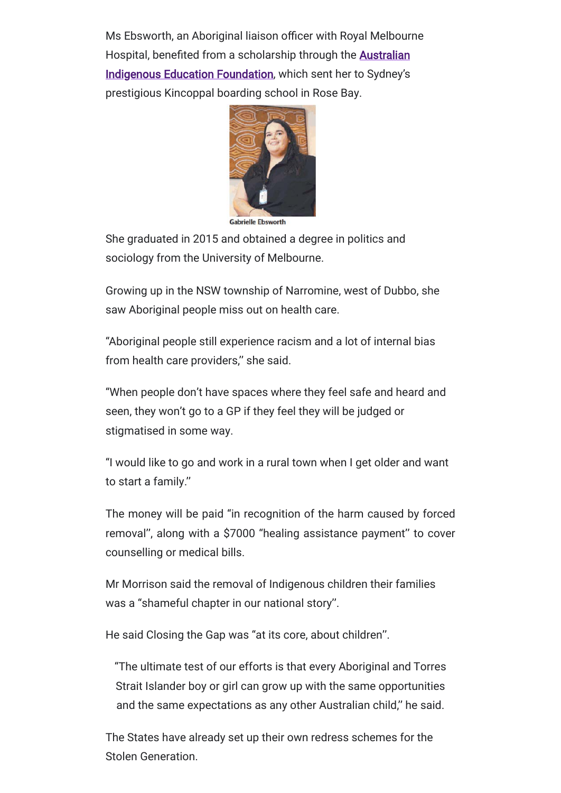Ms Ebsworth, an Aboriginal liaison officer with Royal Melbourne Hospital, benefited from a scholarship through the **Australian** Indigenous Education Foundation, which sent her to Sydney's prestigious Kincoppal boarding school in Rose Bay.



**Gabrielle Ebsworth** 

She graduated in 2015 and obtained a degree in politics and sociology from the University of Melbourne.

Growing up in the NSW township of Narromine, west of Dubbo, she saw Aboriginal people miss out on health care.

"Aboriginal people still experience racism and a lot of internal bias from health care providers,'' she said.

"When people don't have spaces where they feel safe and heard and seen, they won't go to a GP if they feel they will be judged or stigmatised in some way.

"I would like to go and work in a rural town when I get older and want to start a family.''

The money will be paid "in recognition of the harm caused by forced removal'', along with a \$7000 "healing assistance payment'' to cover counselling or medical bills.

Mr Morrison said the removal of Indigenous children their families was a "shameful chapter in our national story''.

He said Closing the Gap was "at its core, about children''.

"The ultimate test of our efforts is that every Aboriginal and Torres Strait Islander boy or girl can grow up with the same opportunities and the same expectations as any other Australian child,'' he said.

The States have already set up their own redress schemes for the Stolen Generation.